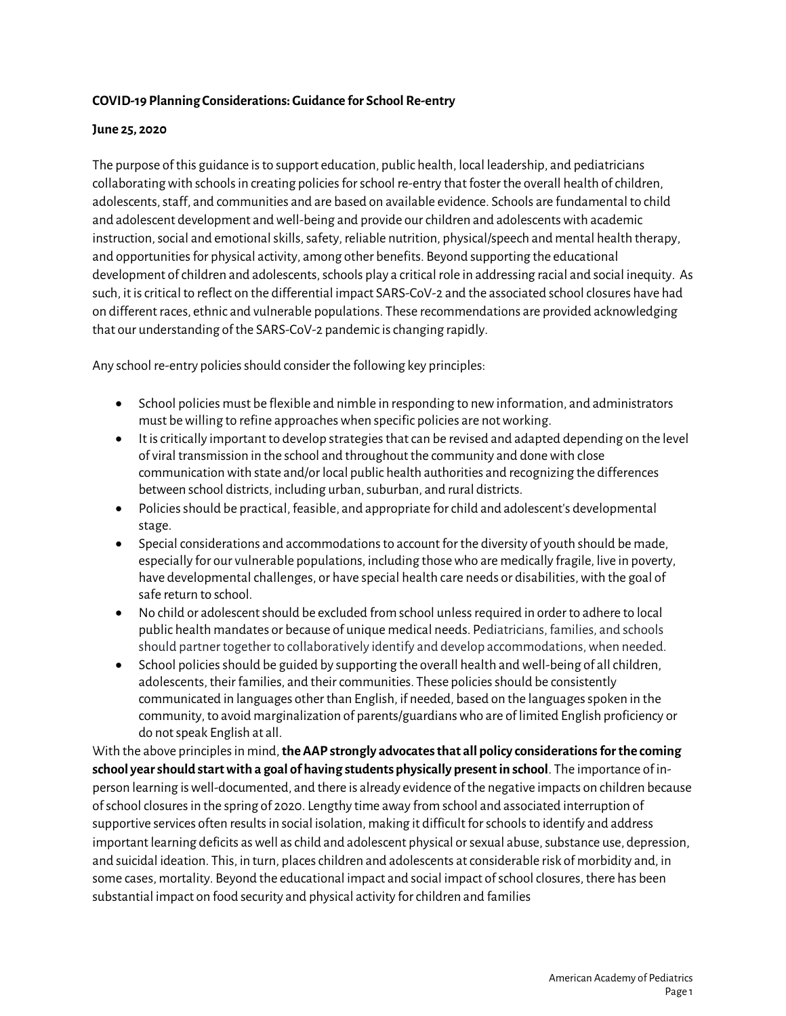#### **COVID-19 Planning Considerations: Guidance for School Re-entry**

#### **June 25, 2020**

The purpose of this guidance is to support education, public health, local leadership, and pediatricians collaborating with schools in creating policies for school re-entry that foster the overall health of children, adolescents, staff, and communities and are based on available evidence. Schools are fundamental to child and adolescent development and well-being and provide our children and adolescentswith academic instruction, social and emotional skills, safety, reliable nutrition, physical/speech and mental health therapy, and opportunities for physical activity, among other benefits. Beyond supporting the educational development of children and adolescents, schools play a critical role in addressing racial and social inequity. As such, it is critical to reflect on the differential impact SARS-CoV-2 and the associated school closures have had on different races, ethnic and vulnerable populations. These recommendations are provided acknowledging that our understanding of the SARS-CoV-2 pandemic is changing rapidly.

Any school re-entry policies should consider the following key principles:

- School policies must be flexible and nimble in responding to new information, and administrators must be willing to refine approaches when specific policies are not working.
- It is critically important to develop strategies that can be revised and adapted depending on the level of viral transmission in the school and throughout the community and done with close communication with state and/or local public health authorities and recognizing the differences between school districts, including urban, suburban, and rural districts.
- Policies should be practical, feasible, and appropriate for child and adolescent's developmental stage.
- Special considerations and accommodations to account for the diversity of youth should be made, especially for our vulnerable populations, including those who are medically fragile, live in poverty, have developmental challenges, or have special health care needs or disabilities, with the goal of safe return to school.
- No child or adolescent should be excluded from school unless required in order to adhere to local public health mandates or because of unique medical needs. Pediatricians, families, and schools should partner together to collaboratively identify and develop accommodations, when needed.
- School policies should be guided by supporting the overall health and well-being of all children, adolescents, their families, and their communities. These policies should be consistently communicated in languages other than English, if needed, based on the languages spoken in the community, to avoid marginalization of parents/guardians who are of limited English proficiency or do not speak English at all.

With the above principles in mind, **the AAP strongly advocates that all policy considerations for the coming school year should start with a goal of having students physically present in school**. The importance of inperson learning is well-documented, and there is already evidence of the negative impacts on children because of school closures in the spring of 2020. Lengthy time away from school and associated interruption of supportive services often results in social isolation, making it difficult for schools to identify and address important learning deficits as well as child and adolescent physical or sexual abuse, substance use, depression, and suicidal ideation. This, in turn, places children and adolescents at considerable risk of morbidity and, in some cases, mortality. Beyond the educational impact and social impact of school closures, there has been substantial impact on food security and physical activity for children and families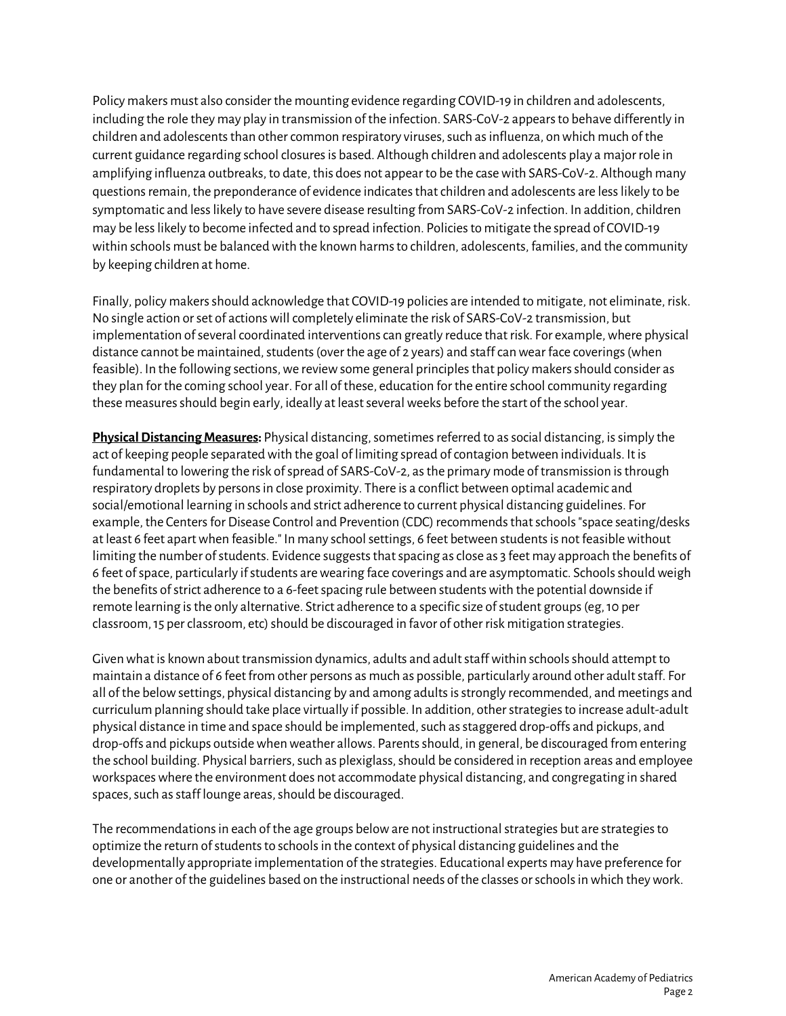Policy makers must also consider the mounting evidence regarding COVID-19 in children and adolescents, including the role they may play in transmission of the infection. SARS-CoV-2 appears to behave differently in children and adolescents than other common respiratory viruses, such as influenza, on which much of the current guidance regarding school closures is based. Although children and adolescents play a major role in amplifying influenza outbreaks, to date, this does not appear to be the case with SARS-CoV-2. Although many questions remain, the preponderance of evidence indicates that children and adolescents are less likely to be symptomatic and less likely to have severe disease resulting from SARS-CoV-2 infection. In addition, children may be less likely to become infected and to spread infection. Policies to mitigate the spread of COVID-19 within schools must be balanced with the known harms to children, adolescents, families, and the community by keeping children at home.

Finally, policy makers should acknowledge that COVID-19 policies are intended to mitigate, not eliminate, risk. No single action or set of actions will completely eliminate the risk of SARS-CoV-2 transmission, but implementation of several coordinated interventions can greatly reduce that risk. For example, where physical distance cannot be maintained, students (over the age of 2 years) and staff can wear face coverings (when feasible). In the following sections, we review some general principles that policy makers should consider as they plan for the coming school year. For all of these, education for the entire school community regarding these measures should begin early, ideally at least several weeks before the start of the school year.

**Physical Distancing Measures:** Physical distancing, sometimes referred to as social distancing, is simply the act of keeping people separated with the goal of limiting spread of contagion between individuals. It is fundamental to lowering the risk of spread of SARS-CoV-2, as the primary mode of transmission is through respiratory droplets by persons in close proximity. There is a conflict between optimal academic and social/emotional learning in schools and strict adherence to current physical distancing guidelines. For example, the Centers for Disease Control and Prevention (CDC) recommends that schools "space seating/desks at least 6 feet apart when feasible." In many school settings, 6 feet between students is not feasible without limiting the number of students. Evidence suggests that spacing as close as 3 feet may approach the benefits of 6 feet of space, particularly if students are wearing face coverings and are asymptomatic. Schools should weigh the benefits of strict adherence to a 6-feet spacing rule between students with the potential downside if remote learning is the only alternative. Strict adherence to a specific size of student groups (eg, 10 per classroom, 15 per classroom, etc) should be discouraged in favor of other risk mitigation strategies.

Given what is known about transmission dynamics, adults and adult staff within schools should attemptto maintain a distance of 6 feet from other persons as much as possible, particularly around other adult staff. For all of the below settings, physical distancing by and among adults is strongly recommended, and meetings and curriculum planning should take place virtually if possible. In addition, other strategies to increase adult-adult physical distance in time and space should be implemented, such as staggered drop-offs and pickups, and drop-offs and pickups outside when weather allows. Parents should, in general, be discouraged from entering the school building. Physical barriers, such as plexiglass, should be considered in reception areas and employee workspaces where the environment does not accommodate physical distancing, and congregating in shared spaces, such as staff lounge areas, should be discouraged.

The recommendations in each of the age groups below are not instructional strategies but are strategies to optimize the return of students to schools in the context of physical distancing guidelines and the developmentally appropriate implementation of the strategies. Educational experts may have preference for one or another of the guidelines based on the instructional needs of the classes or schools in which they work.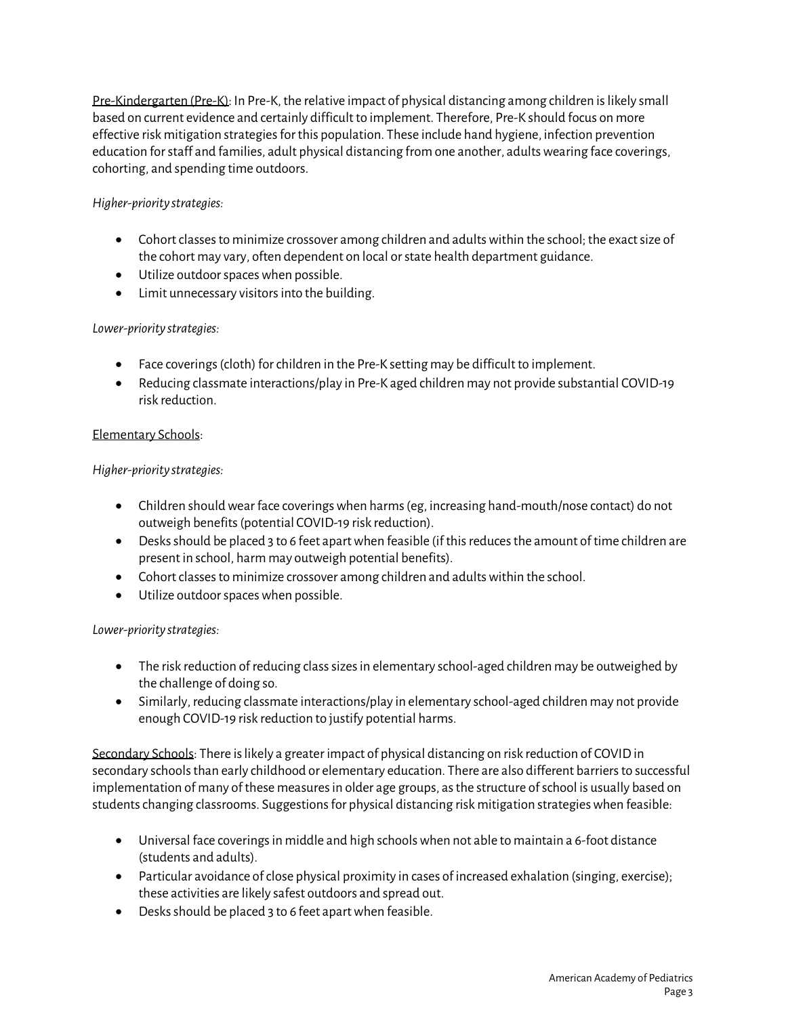Pre-Kindergarten (Pre-K): In Pre-K, the relative impact of physical distancing among children is likely small based on current evidence and certainly difficult to implement. Therefore, Pre-K should focus on more effective risk mitigation strategies for this population. These include hand hygiene, infection prevention education for staff and families, adult physical distancing from one another, adults wearing face coverings, cohorting, and spending time outdoors.

## *Higher-priority strategies:*

- Cohort classesto minimize crossover among children and adults within the school; the exact size of the cohort may vary, often dependent on local or state health department guidance.
- Utilize outdoor spaces when possible.
- Limit unnecessary visitors into the building.

# *Lower-priority strategies:*

- Face coverings(cloth) forchildren in the Pre-K setting may be difficult to implement.
- Reducing classmate interactions/play in Pre-K aged children may not provide substantial COVID-19 risk reduction.

## Elementary Schools:

## *Higher-priority strategies:*

- Children should wear face coverings when harms (eg, increasing hand-mouth/nose contact) do not outweigh benefits (potential COVID-19 risk reduction).
- Desks should be placed 3 to 6 feet apart when feasible (if this reduces the amount of time children are present in school, harm may outweigh potential benefits).
- Cohort classes to minimize crossover among children and adults within the school.
- Utilize outdoor spaces when possible.

## *Lower-priority strategies:*

- The risk reduction of reducing class sizes in elementary school-aged children may be outweighed by the challenge of doing so.
- Similarly, reducing classmate interactions/play in elementary school-aged children may not provide enough COVID-19 risk reduction to justify potential harms.

Secondary Schools: There is likely a greater impact of physical distancing on risk reduction of COVID in secondary schools than early childhood or elementary education. There are also different barriers to successful implementation of many of these measures in older age groups, as the structure of school is usually based on students changing classrooms. Suggestions for physical distancing risk mitigation strategies when feasible:

- Universal face coverings in middle and high schools when not able to maintain a 6-foot distance (students and adults).
- Particular avoidance of close physical proximity in cases of increased exhalation (singing, exercise); these activities are likely safest outdoors and spread out.
- Desks should be placed 3 to 6 feet apart when feasible.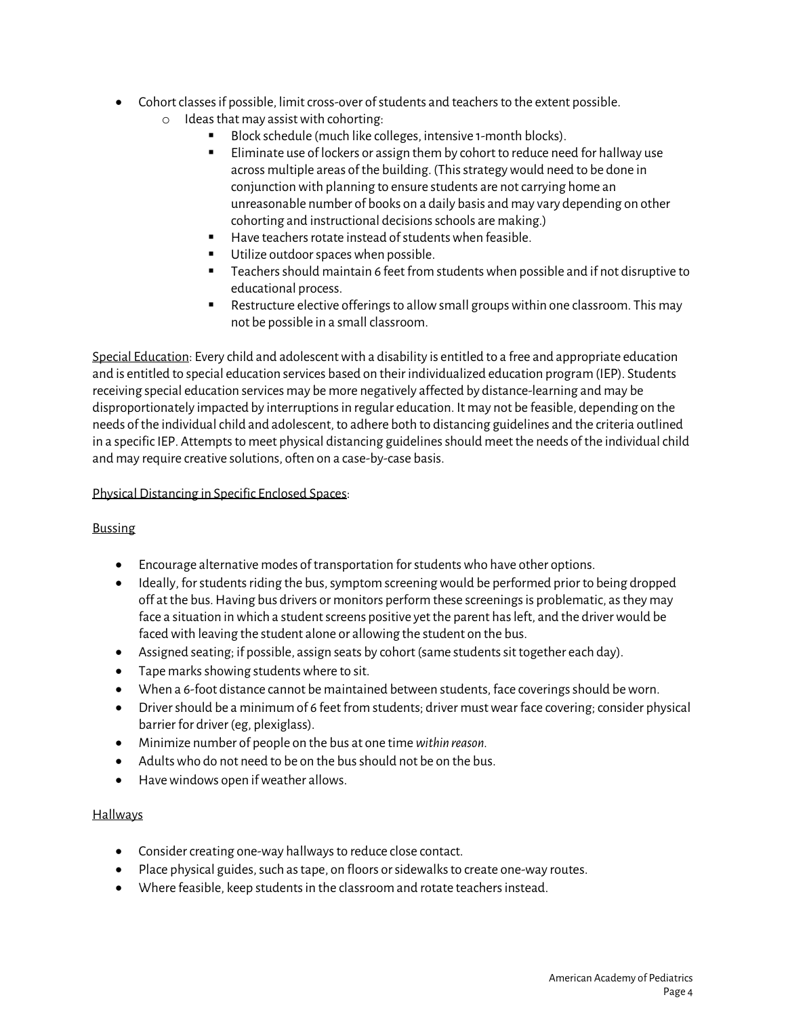- Cohort classes if possible, limit cross-over of students and teachers to the extent possible.
	- $\circ$  Ideas that may assist with cohorting:
		- Block schedule (much like colleges, intensive 1-month blocks).
		- Eliminate use of lockers or assign them by cohort to reduce need for hallway use across multiple areas of the building. (This strategy would need to be done in conjunction with planning to ensure students are not carrying home an unreasonable number of books on a daily basis and may vary depending on other cohorting and instructional decisions schools are making.)
		- Have teachers rotate instead of studentswhen feasible.
		- Utilize outdoor spaces when possible.
		- Teachers should maintain 6 feet from students when possible and if not disruptive to educational process.
		- Restructure elective offerings to allow small groups within one classroom. This may not be possible in a small classroom.

Special Education: Every child and adolescentwith a disability is entitled to a free and appropriate education and is entitled to special education services based on their individualized education program (IEP). Students receiving special education services may be more negatively affected by distance-learning and may be disproportionately impacted by interruptions in regular education. It may not be feasible, depending on the needs of the individual child and adolescent, to adhere both to distancing guidelines and the criteria outlined in a specific IEP. Attempts to meet physical distancing guidelines should meet the needs of the individual child and may require creative solutions, often on a case-by-case basis.

#### Physical Distancing in Specific Enclosed Spaces:

## Bussing

- Encourage alternative modes of transportation for students who have other options.
- Ideally, for students riding the bus, symptom screening would be performed prior to being dropped off at the bus. Having bus drivers or monitors perform these screenings is problematic, as they may face a situation in which a student screens positive yet the parent has left, and the driver would be faced with leaving the student alone or allowing the student on the bus.
- Assigned seating; if possible, assign seats by cohort (same students sit together each day).
- Tape marks showing students where to sit.
- When a 6-foot distance cannot be maintained between students, face coverings should be worn.
- Drivershould be a minimum of 6 feet from students; driver must wear face covering; consider physical barrier for driver (eg, plexiglass).
- Minimize number of people on the bus at one time *within reason.*
- Adults who do not need to be on the bus should not be on the bus.
- Have windows open if weather allows.

#### **Hallways**

- Consider creating one-way hallways to reduce close contact.
- Place physical guides, such as tape, on floors or sidewalks to create one-way routes.
- Where feasible, keep students in the classroom and rotate teachers instead.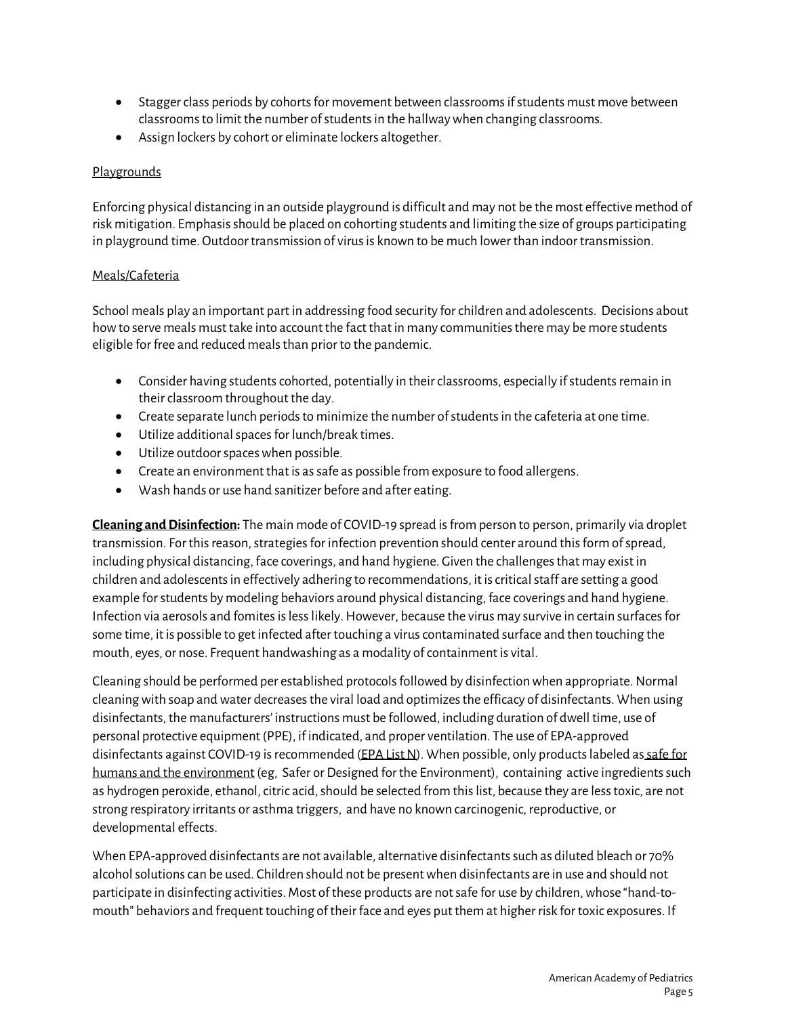- Stagger class periods by cohorts for movement between classrooms if students must move between classroomsto limit the number of students in the hallway when changing classrooms.
- Assign lockers by cohort or eliminate lockers altogether.

#### Playgrounds

Enforcing physical distancing in an outside playground is difficult and may not be the most effective method of risk mitigation. Emphasis should be placed on cohorting students and limiting the size of groups participating in playground time. Outdoor transmission of virus is known to be much lower than indoor transmission.

#### Meals/Cafeteria

School meals play an important part in addressing food security for children and adolescents. Decisions about how to serve meals must take into account the fact that in many communities there may be more students eligible for free and reduced meals than prior to the pandemic.

- Consider having students cohorted, potentially in their classrooms, especially if students remain in their classroom throughout the day.
- Create separate lunch periods to minimize the number of students in the cafeteria at one time.
- Utilize additional spaces for lunch/break times.
- Utilize outdoor spaces when possible.
- Create an environment that is as safe as possible from exposure to food allergens.
- Wash hands or use hand sanitizer before and after eating.

**Cleaning and Disinfection:** The main mode of COVID-19 spread is from person to person, primarily via droplet transmission. For this reason, strategies for infection prevention should center around this form of spread, including physical distancing, face coverings, and hand hygiene. Given the challenges that may exist in children and adolescents in effectively adhering to recommendations, it is critical staff are setting a good example for students by modeling behaviors around physical distancing, face coverings and hand hygiene. Infection via aerosols and fomites is less likely. However, because the virus may survive in certain surfaces for some time, it is possible to get infected after touching a virus contaminated surface and then touching the mouth, eyes, or nose. Frequent handwashing as a modality of containment is vital.

Cleaning should be performed per established protocols followed by disinfection when appropriate. Normal cleaning with soap and water decreases the viral load and optimizes the efficacy of disinfectants. When using disinfectants, the manufacturers' instructions must be followed, including duration of dwell time, use of personal protective equipment (PPE), if indicated, and proper ventilation. The use of EPA-approved disinfectants against COVID-19 is recommended [\(EPA List N\)](https://www.epa.gov/pesticide-registration/list-n-disinfectants-use-against-sars-cov-2-covid-19). When possible, only products labeled as safe for humans and the environment (eg, Safer or Designed for the Environment), containing active ingredients such as hydrogen peroxide, ethanol, citric acid, should be selected from this list, because they are less toxic, are not strong respiratory irritants or asthma triggers, and have no known carcinogenic, reproductive, or developmental effects.

When EPA-approved disinfectants are not available, alternative disinfectants such as diluted bleach or 70% alcohol solutions can be used. Children should not be present when disinfectants are in use and should not participate in disinfecting activities. Most of these products are not safe for use by children, whose "hand-tomouth" behaviors and frequent touching of their face and eyes put them at higher risk for toxic exposures. If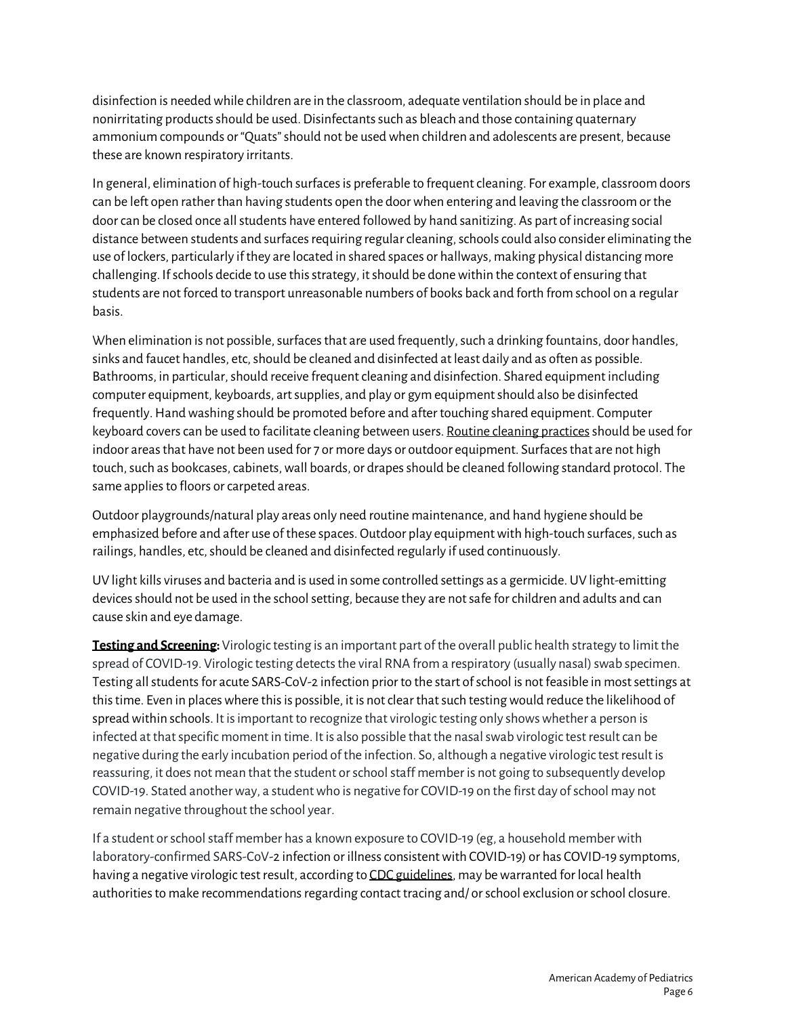disinfection is needed while children are in the classroom, adequate ventilation should be in place and nonirritating products should be used. Disinfectants such as bleach and those containing quaternary ammonium compounds or "Quats" should not be used when children and adolescents are present, because these are known respiratory irritants.

In general, elimination of high-touch surfaces is preferable to frequent cleaning. For example, classroom doors can be left open rather than having students open the door when entering and leaving the classroom or the door can be closed once all students have entered followed by hand sanitizing. As part of increasing social distance between students and surfaces requiring regular cleaning, schools could also consider eliminating the use of lockers, particularly if they are located in shared spaces or hallways, making physical distancing more challenging. If schools decide to use this strategy, it should be done within the context of ensuring that students are not forced to transport unreasonable numbers of books back and forth from school on a regular basis.

When elimination is not possible, surfaces that are used frequently, such a drinking fountains, door handles, sinks and faucet handles, etc, should be cleaned and disinfected at least daily and as often as possible. Bathrooms, in particular, should receive frequent cleaning and disinfection. Shared equipment including computer equipment, keyboards, art supplies, and play or gym equipmentshould also be disinfected frequently. Hand washing should be promoted before and after touching shared equipment. Computer keyboard covers can be used to facilitate cleaning between users. Routine cleaning practices should be used for indoor areas that have not been used for 7 or more days or outdoor equipment. Surfaces that are not high touch, such as bookcases, cabinets, wall boards, or drapes should be cleaned following standard protocol. The same applies to floors or carpeted areas.

Outdoor playgrounds/natural play areas only need routine maintenance, and hand hygiene should be emphasized before and after use of these spaces. Outdoor play equipment with high-touch surfaces, such as railings, handles, etc, should be cleaned and disinfected regularly if used continuously.

UV light kills viruses and bacteria and is used in some controlled settings as a germicide. UV light-emitting devices should not be used in the school setting, because they are not safe for children and adults and can cause skin and eye damage.

**Testing and Screening:** Virologic testing is an important part of the overall public health strategy to limit the spread of COVID-19. Virologic testing detects the viral RNA from a respiratory (usually nasal) swab specimen. Testing all students for acute SARS-CoV-2 infection prior to the start of school is not feasible in most settings at this time. Even in places where this is possible, it is not clear that such testing would reduce the likelihood of spread within schools. It is important to recognize that virologic testing only shows whether a person is infected at that specific moment in time. It is also possible that the nasal swab virologic test result can be negative during the early incubation period of the infection. So, although a negative virologic test result is reassuring, it does not mean that the student or school staff member is not going to subsequently develop COVID-19. Stated another way, a student who is negative for COVID-19 on the first day of school may not remain negative throughout the school year.

If a student or school staff member has a known exposure to COVID-19 (eg, a household member with laboratory-confirmed SARS-CoV-2 infection or illness consistent with COVID-19) or has COVID-19 symptoms, having a negative virologic test result, according t[o CDC guidelines,](https://www.cdc.gov/coronavirus/2019-ncov/hcp/clinical-criteria.html) may be warranted for local health authorities to make recommendations regarding contact tracing and/ or school exclusion or school closure.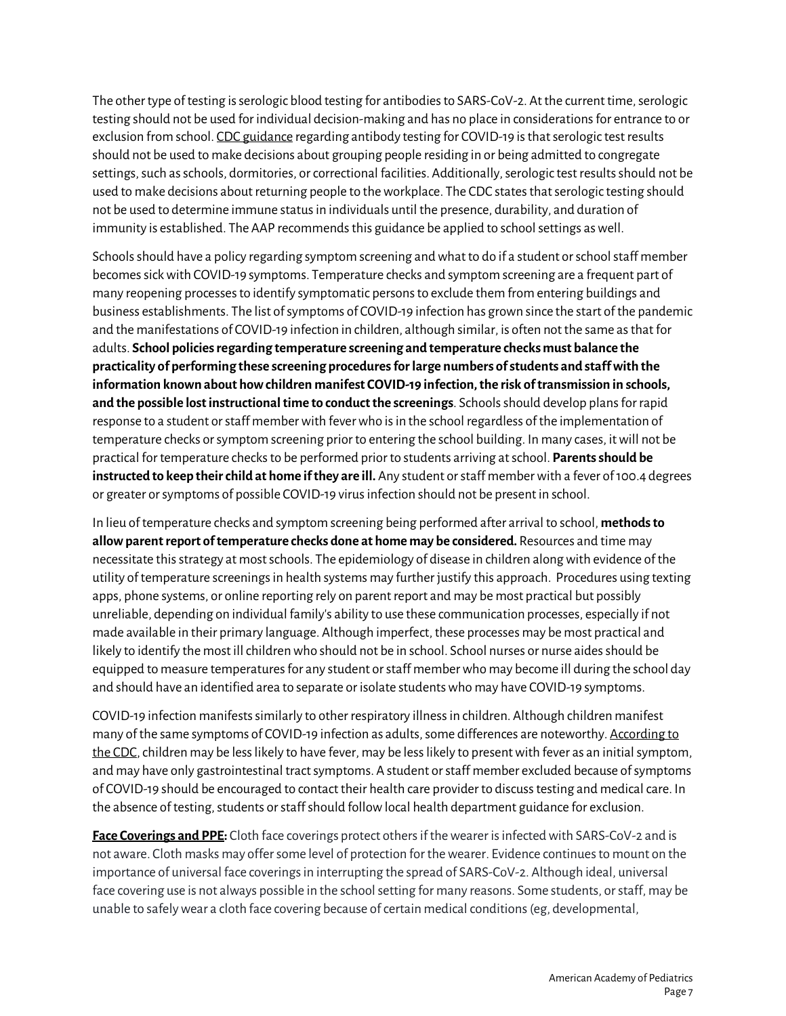The other type of testing is serologic blood testing for antibodies to SARS-CoV-2. At the current time, serologic testing should not be used for individual decision-making and has no place in considerations for entrance to or exclusion from school[. CDC guidance](https://www.cdc.gov/coronavirus/2019-ncov/lab/resources/antibody-tests-guidelines.html#anchor_1590264273029) regarding antibody testing for COVID-19 is that serologic test results should not be used to make decisions about grouping people residing in or being admitted to congregate settings, such as schools, dormitories, or correctional facilities. Additionally, serologic test results should not be used to make decisions about returning people to the workplace. The CDC states that serologic testing should not be used to determine immune status in individuals until the presence, durability, and duration of immunity is established. The AAP recommends this guidance be applied to school settings as well.

Schools should have a policy regarding symptom screening and what to do if a student or school staff member becomes sick with COVID-19 symptoms. Temperature checks and symptom screening are a frequent part of many reopening processes to identify symptomatic persons to exclude them from entering buildings and business establishments. The list of symptoms of COVID-19 infection has grown since the start of the pandemic and the manifestations of COVID-19 infection in children, although similar, is often not the same as that for adults. **School policies regarding temperature screening and temperature checks must balance the practicality of performing these screening procedures for large numbers of students and staff with the information known about how children manifest COVID-19 infection, the risk of transmission in schools, and the possible lost instructional time to conduct the screenings**. Schools should develop plans for rapid response to a student or staff member with fever who is in the school regardless of the implementation of temperature checks or symptom screening prior to entering the school building. In many cases, it will not be practical for temperature checks to be performed prior to students arriving at school. **Parents should be instructed to keep their child at home if they are ill.** Any student or staff member with a fever of 100.4 degrees or greater or symptoms of possible COVID-19 virus infection should not be present in school.

In lieu of temperature checks and symptom screening being performed after arrival to school, **methods to allow parent report of temperature checks done at home may be considered.** Resources and time may necessitate this strategy at most schools. The epidemiology of disease in children along with evidence of the utility of temperature screenings in health systems may further justify this approach. Procedures using texting apps, phone systems, or online reporting rely on parent report and may be most practical but possibly unreliable, depending on individual family's ability to use these communication processes, especially if not made available in their primary language. Although imperfect, these processes may be most practical and likely to identify the most ill children who should not be in school. School nurses or nurse aides should be equipped to measure temperatures for any student or staff member who may become ill during the school day and should have an identified area to separate or [isolate students w](https://www.cdc.gov/coronavirus/2019-ncov/community/schools-childcare/schools.html)ho may have COVID-19 symptoms.

COVID-19 infection manifests similarly to other respiratory illness in children. Although children manifest many of the same symptoms of COVID-19 infection as adults, some differences are noteworthy[. According to](https://www.cdc.gov/coronavirus/2019-ncov/hcp/pediatric-hcp.html)  [the CDC,](https://www.cdc.gov/coronavirus/2019-ncov/hcp/pediatric-hcp.html) children may be less likely to have fever, may be less likely to present with fever as an initial symptom, and may have only gastrointestinal tract symptoms. A student or staff member excluded because ofsymptoms of COVID-19 should be encouraged to contact their health care provider to discuss testing and medical care. In the absence of testing, students or staff should follow local health department guidance for exclusion.

**Face Coverings and PPE:** Cloth face coverings protect others if the wearer is infected with SARS-CoV-2 and is not aware. Cloth masks may offer some level of protection for the wearer. Evidence continues to mount on the importance of universal face coverings in interrupting the spread of SARS-CoV-2. Although ideal, universal face covering use is not always possible in the school setting for many reasons. Some students, or staff, may be unable to safely wear a cloth face covering because of certain medical conditions (eg, developmental,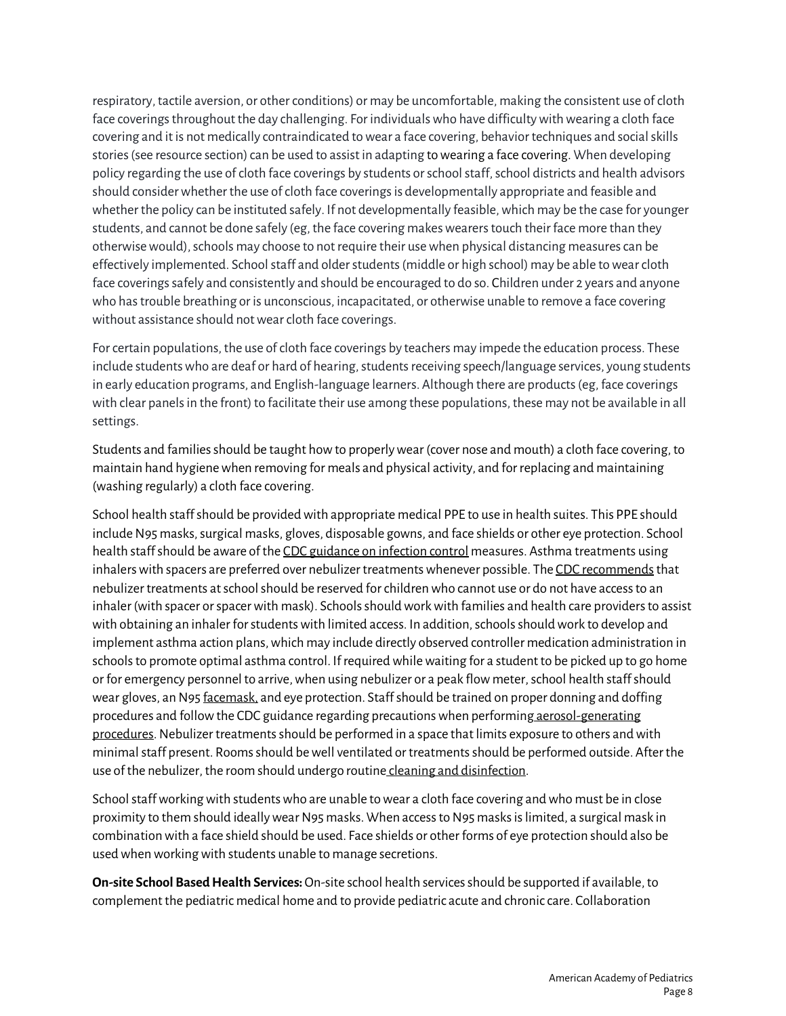respiratory, tactile aversion, or other conditions) or may be uncomfortable, making the consistent use of cloth face coverings throughout the day challenging. For individualswho have difficulty with wearing a cloth face covering and it is not medically contraindicated to wear a face covering, behavior techniques and social skills stories (see resource section) can be used to assist in adapting to wearing a face covering. When developing policy regarding the use of cloth face coverings by students or school staff, school districts and health advisors should consider whether the use of cloth face coverings is developmentally appropriate and feasible and whether the policy can be instituted safely. If not developmentally feasible, which may be the case for younger students, and cannot be done safely (eg, the face covering makes wearers touch their face more than they otherwise would), schools may choose to not require their use when physical distancing measures can be effectively implemented. School staff and older students (middle or high school) may be able to wear cloth face coverings safely and consistently and should be encouraged to do so. Children under 2 years and anyone who has trouble breathing or is unconscious, incapacitated, or otherwise unable to remove a face covering without assistance should not wear cloth face coverings.

For certain populations, the use of cloth face coverings by teachers may impede the education process. These include students who are deaf or hard of hearing, students receiving speech/language services, young students in early education programs, and English-language learners. Although there are products (eg, face coverings with clear panels in the front) to facilitate their use among these populations, these may not be available in all settings.

Students and families should be taught how to properly wear (cover nose and mouth) a cloth face covering, to maintain hand hygiene when removing for meals and physical activity, and for replacing and maintaining (washing regularly) a cloth face covering.

School health staff should be provided with appropriate medical PPE to use in health suites. This PPE should include N95 masks, surgical masks, gloves, disposable gowns, and face shields or other eye protection. School health staff should be aware of th[e CDC guidance on infection control m](https://www.cdc.gov/coronavirus/2019-ncov/hcp/infection-control-faq.html#asymptomatic)easures. Asthma treatments using [inhalers with spacers](https://www.cdc.gov/asthma/inhaler_video/default.htm) are preferred over nebulizer treatments whenever possible. The CDC recommends that nebulizer treatments at school should be reserved for children who cannot use or do not have access to an inhaler (with spacer or spacer with mask). Schools should work with families and health care providers to assist with obtaining an inhaler for students with limited access. In addition, schools should work to develop and implement asthma action plans, which may include directly observed controller medication administration in schools to promote optimal asthma control. If required while waiting for a student to be picked up to go home or for emergency personnel to arrive, when using nebulizer or a peak flow meter, school health staff should wear gloves, an N9[5 facemask,](https://www.cdc.gov/coronavirus/2019-ncov/hcp/using-ppe.html) and eye protection. Staff should be trained on proper donning and doffing procedures and follow the CDC guidance regarding precautions when performing [aerosol-generating](https://www.cdc.gov/coronavirus/2019-ncov/hcp/infection-control-recommendations.html#take_precautions)  [procedures.](https://www.cdc.gov/coronavirus/2019-ncov/hcp/infection-control-recommendations.html#take_precautions) Nebulizer treatments should be performed in a space that limits exposure to others and with minimal staff present. Rooms should be well ventilated or treatments should be performed outside. After the use of the nebulizer, the room should undergo routine [cleaning and disinfection.](https://www.cdc.gov/coronavirus/2019-ncov/community/cleaning-disinfecting-decision-tool.html)

School staff working with students who are unable to wear a cloth face covering and who must be in close proximity to them should ideally wear N95 masks. When access to N95 masks is limited, a surgical mask in combination with a face shield should be used. Face shields or other forms of eye protection should also be used when working with students unable to manage secretions.

**On-site School Based Health Services:**On-site school health services should be supported if available, to complement the pediatric medical home and to provide pediatric acute and chronic care. Collaboration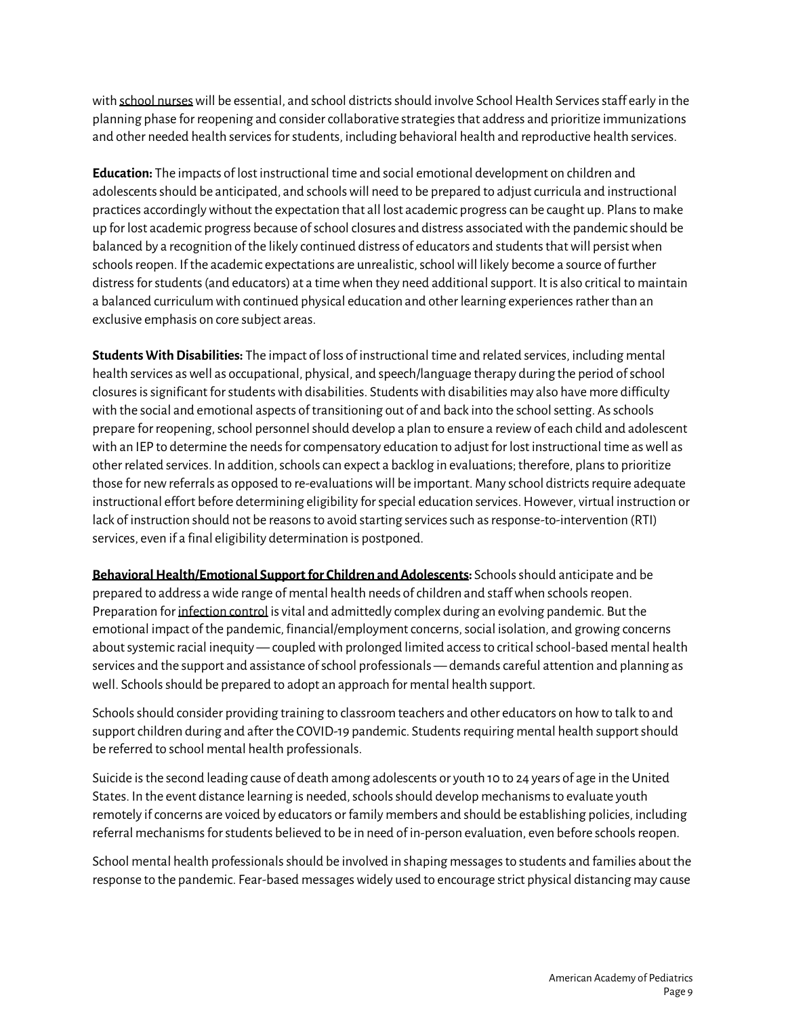with school nurses will be essential, and school districts should involve School Health Services staff early in the planning phase for reopening and consider collaborative strategies that address and prioritize immunizations and other needed health services for students, including behavioral health and reproductive health services.

**Education:** The impacts of lost instructional time and social emotional development on children and adolescents should be anticipated, and schools will need to be prepared to adjust curricula and instructional practices accordingly without the expectation that all lost academic progress can be caught up. Plans to make up for lost academic progress because ofschool closures and distress associated with the pandemic should be balanced by a recognition of the likely continued distress of educators and students that will persist when schools reopen. If the academic expectations are unrealistic, school will likely become a source of further distress for students (and educators) at a time when they need additional support. It is also critical to maintain a balanced curriculum with continued physical education and other learning experiences rather than an exclusive emphasis on core subject areas.

**Students With Disabilities:** The impact of loss of instructional time and related services, including mental health services as well as occupational, physical, and speech/language therapy during the period of school closures is significant for students with disabilities. Students with disabilities may also have more difficulty with the social and emotional aspects of transitioning out of and back into the school setting. As schools prepare for reopening, school personnel should develop a plan to ensure a review of each child and adolescent with an IEP to determine the needs for compensatory education to adjust for lost instructional time as well as other related services. In addition, schools can expect a backlog in evaluations; therefore, plans to prioritize those for new referrals as opposed to re-evaluations will be important. Many school districts require adequate instructional effort before determining eligibility for special education services. However, virtual instruction or lack of instruction should not be reasons to avoid starting services such as response-to-intervention (RTI) services, even if a final eligibility determination is postponed.

**Behavioral Health/Emotional Support for Children and Adolescents:** Schools should anticipate and be prepared to address a wide range of mental health needs of children and staff when schools reopen. Preparation fo[r infection control](https://www.cdc.gov/coronavirus/2019-ncov/hcp/infection-control-faq.html#asymptomatic) is vital and admittedly complex during an evolving pandemic. But the emotional impact of the pandemic, financial/employment concerns, social isolation, and growing concerns about systemic racial inequity — coupled with prolonged limited access to critical school-based mental health services and the support and assistance of school professionals — demands careful attention and planning as well. Schools should be prepared to adopt an approach for mental health support.

Schools should consider providing training to classroom teachers and other educators on how to talk to and support children during and after the COVID-19 pandemic. Students requiring mental health support should be referred to school mental health professionals.

Suicide is the second leading cause of death among adolescents or youth 10 to 24 years of age in the United States. In the event distance learning is needed, schools should develop mechanisms to evaluate youth remotely if concerns are voiced by educators or family members and should be establishing policies, including referral mechanisms for students believed to be in need of in-person evaluation, even before schools reopen.

School mental health professionals should be involved in shaping messages to students and families about the response to the pandemic. Fear-based messages widely used to encourage strict physical distancing may cause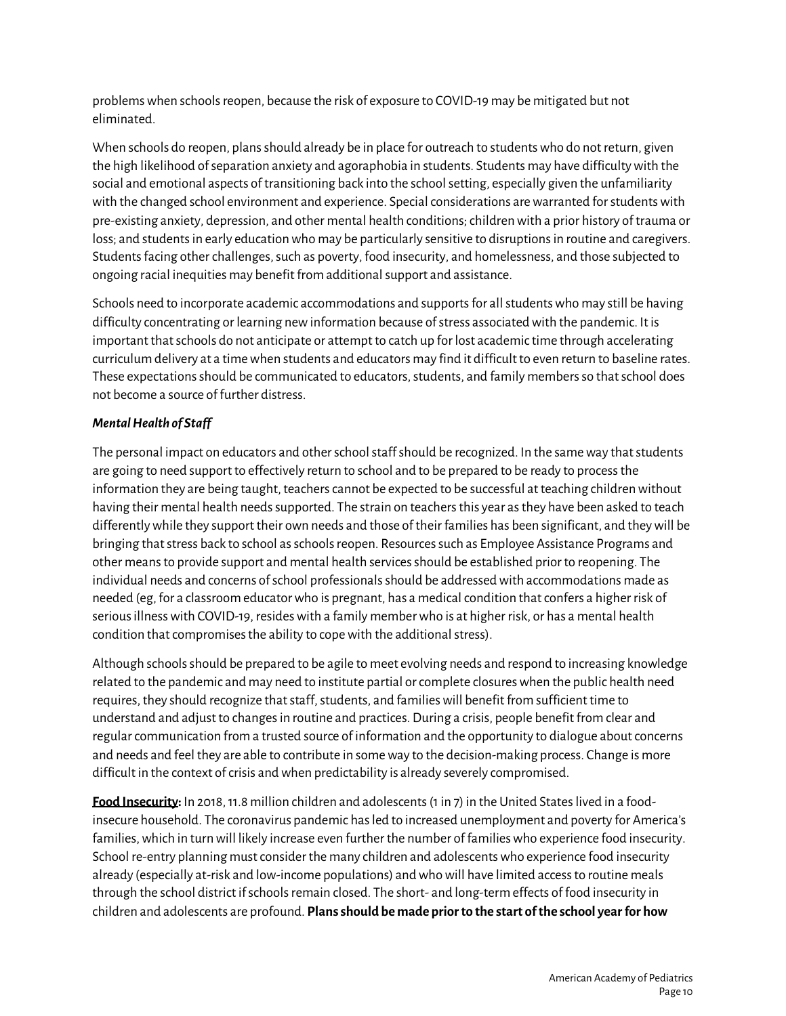problems when schools reopen, because the risk of exposure to COVID-19 may be mitigated but not eliminated.

When schools do reopen, plans should already be in place for outreach to students who do not return, given the high likelihood of separation anxiety and agoraphobia in students. Students may have difficulty with the social and emotional aspects of transitioning back into the school setting, especially given the unfamiliarity with the changed school environment and experience. Special considerations are warranted for students with pre-existing anxiety, depression, and other mental health conditions; children with a prior history of trauma or loss; and students in early education who may be particularly sensitive to disruptions in routine and caregivers. Students facing other challenges, such as poverty, food insecurity, and homelessness, and those subjected to ongoing racial inequities may benefit from additional support and assistance.

Schools need to incorporate academic accommodations and supports for all students who may still be having difficulty concentrating or learning new information because ofstress associated with the pandemic. It is important that schools do not anticipate or attempt to catch up for lost academic time through accelerating curriculum delivery at a time when students and educators may find it difficult to even return to baseline rates. These expectations should be communicated to educators, students, and family members so that school does not become a source of further distress.

# *Mental Health of Staff*

The personal impact on educators and other school staff should be recognized. In the same way that students are going to need support to effectively return to school and to be prepared to be ready to process the information they are being taught, teachers cannot be expected to be successful at teaching children without having their mental health needs supported. The strain on teachers this year as they have been asked to teach differently while they support their own needs and those of their families has been significant, and they will be bringing that stress back to school as schools reopen. Resources such as Employee Assistance Programs and other means to provide support and mental health services should be established prior to reopening. The individual needs and concerns of school professionals should be addressed with accommodations made as needed (eg, for a classroom educator who is pregnant, has a medical condition that confers a higher risk of serious illness with COVID-19, resides with a family member who is at higher risk, or has a mental health condition that compromises the ability to cope with the additional stress).

Although schools should be prepared to be agile to meet evolving needs and respond to increasing knowledge related to the pandemic and may need to institute partial or complete closures when the public health need requires, they should recognize that staff, students, and families will benefit from sufficient time to understand and adjust to changes in routine and practices. During a crisis, people benefit from clear and regular communication from a trusted source of information and the opportunity to dialogue about concerns and needs and feel they are able to contribute in some way to the decision-making process. Change is more difficult in the context of crisis and when predictability is already severely compromised.

**Food Insecurity:** In 2018, 11.8 million children and adolescents (1 in 7) in the United States lived in a foodinsecure household. The coronavirus pandemic has led to increased unemployment and poverty for America's families, which in turn will likely increase even further the number of families who experience food insecurity. School re-entry planning must consider the many children and adolescentswho experience food insecurity already (especially at-risk and low-income populations) and who will have limited access to routine meals through the school district if schools remain closed. The short- and long-termeffects of food insecurity in children and adolescents are profound. **Plans should be made prior to the start of the school year for how**